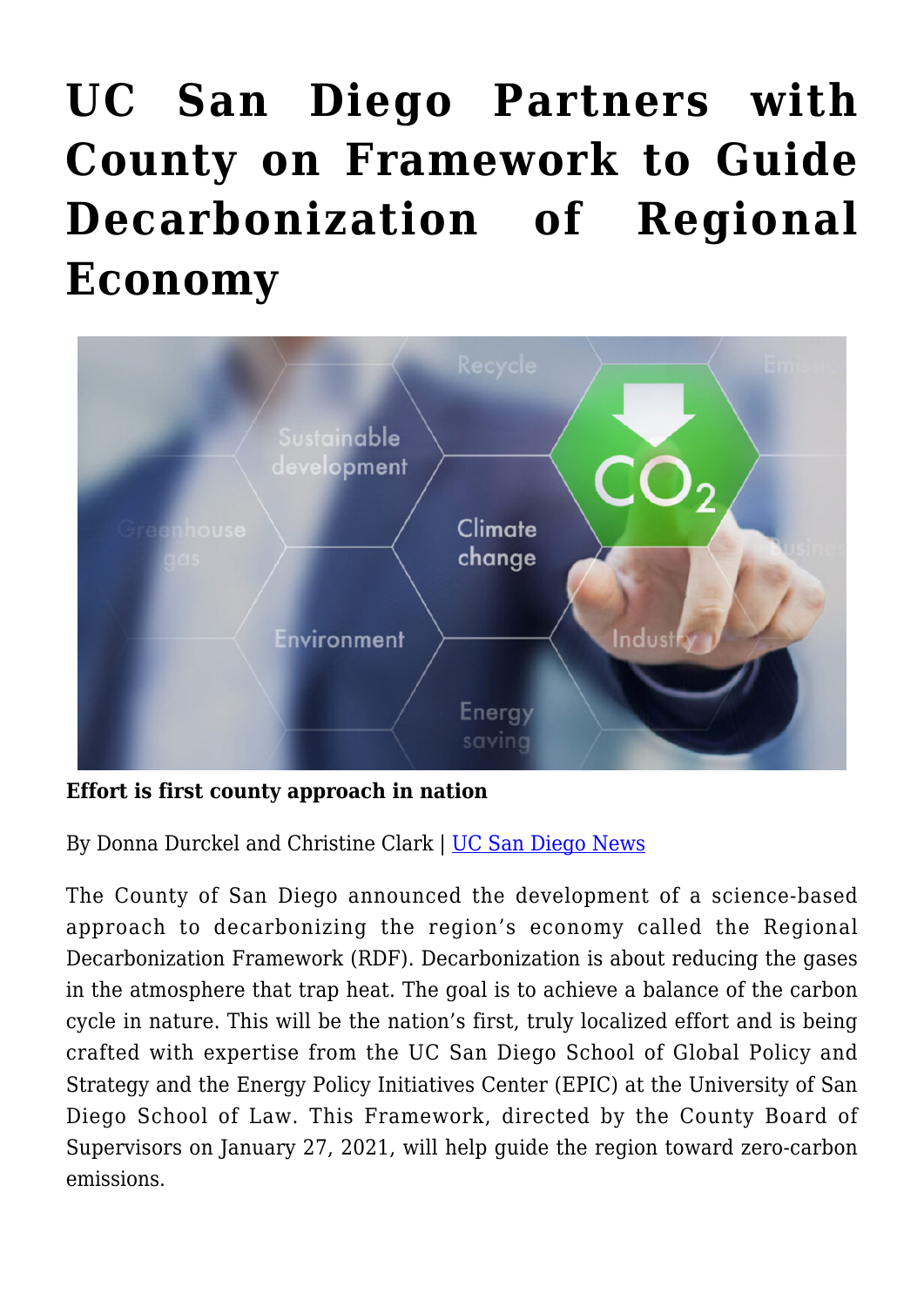## **[UC San Diego Partners with](https://gpsnews.ucsd.edu/uc-san-diego-partners-with-county-on-framework-to-guide-decarbonization-of-regional-economy/) [County on Framework to Guide](https://gpsnews.ucsd.edu/uc-san-diego-partners-with-county-on-framework-to-guide-decarbonization-of-regional-economy/) [Decarbonization of Regional](https://gpsnews.ucsd.edu/uc-san-diego-partners-with-county-on-framework-to-guide-decarbonization-of-regional-economy/) [Economy](https://gpsnews.ucsd.edu/uc-san-diego-partners-with-county-on-framework-to-guide-decarbonization-of-regional-economy/)**



**Effort is first county approach in nation**

By Donna Durckel and Christine Clark | [UC San Diego News](https://ucsdnews.ucsd.edu/pressrelease/products-displays-on-webpages-can-affect-what-you-add-to-your-cart)

The County of San Diego announced the development of a science-based approach to decarbonizing the region's economy called the Regional Decarbonization Framework (RDF). Decarbonization is about reducing the gases in the atmosphere that trap heat. The goal is to achieve a balance of the carbon cycle in nature. This will be the nation's first, truly localized effort and is being crafted with expertise from the UC San Diego School of Global Policy and Strategy and the Energy Policy Initiatives Center (EPIC) at the University of San Diego School of Law. This Framework, directed by the County Board of Supervisors on January 27, 2021, will help guide the region toward zero-carbon emissions.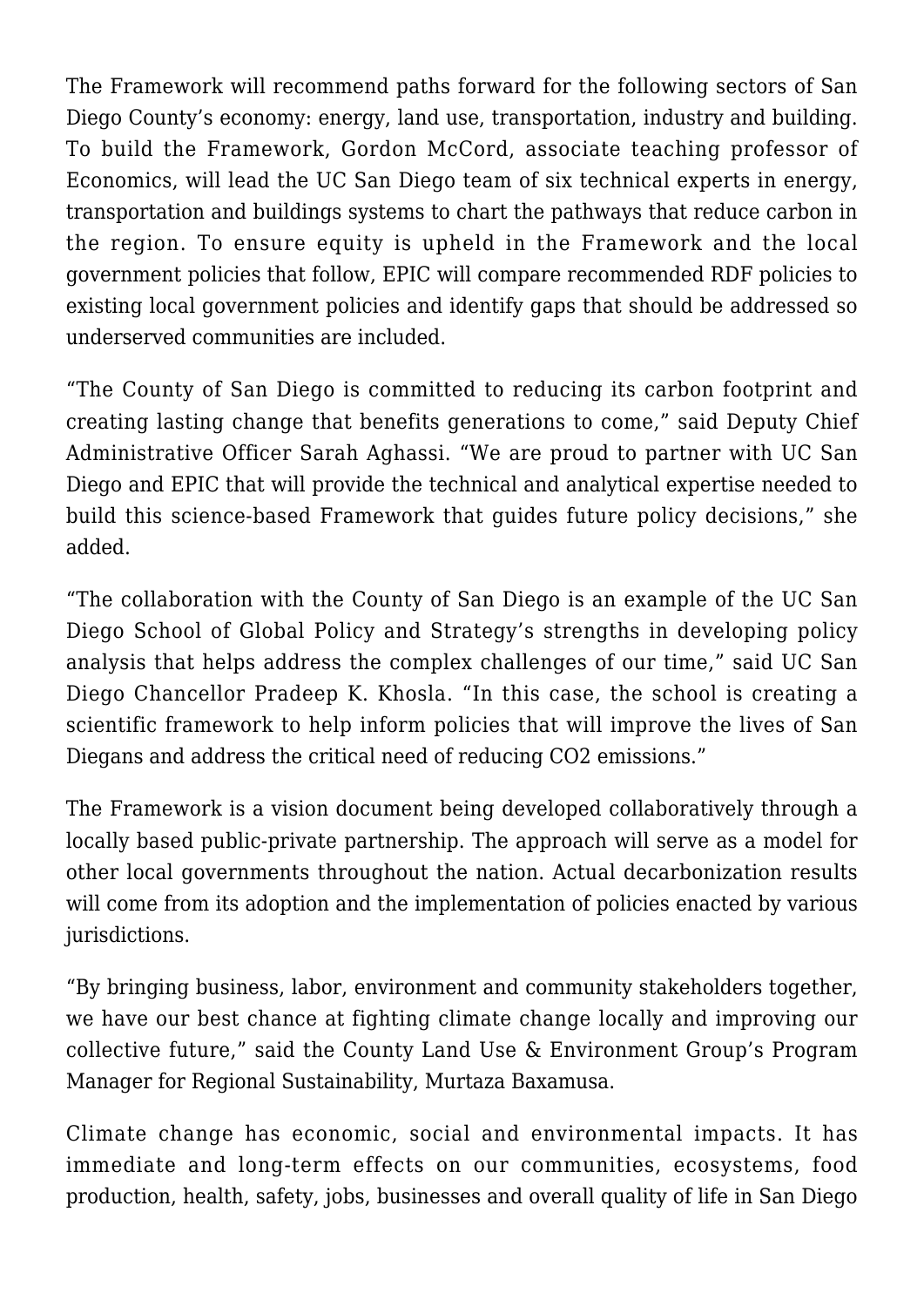The Framework will recommend paths forward for the following sectors of San Diego County's economy: energy, land use, transportation, industry and building. To build the Framework, Gordon McCord, associate teaching professor of Economics, will lead the UC San Diego team of six technical experts in energy, transportation and buildings systems to chart the pathways that reduce carbon in the region. To ensure equity is upheld in the Framework and the local government policies that follow, EPIC will compare recommended RDF policies to existing local government policies and identify gaps that should be addressed so underserved communities are included.

"The County of San Diego is committed to reducing its carbon footprint and creating lasting change that benefits generations to come," said Deputy Chief Administrative Officer Sarah Aghassi. "We are proud to partner with UC San Diego and EPIC that will provide the technical and analytical expertise needed to build this science-based Framework that guides future policy decisions," she added.

"The collaboration with the County of San Diego is an example of the UC San Diego School of Global Policy and Strategy's strengths in developing policy analysis that helps address the complex challenges of our time," said UC San Diego Chancellor Pradeep K. Khosla. "In this case, the school is creating a scientific framework to help inform policies that will improve the lives of San Diegans and address the critical need of reducing CO2 emissions."

The Framework is a vision document being developed collaboratively through a locally based public-private partnership. The approach will serve as a model for other local governments throughout the nation. Actual decarbonization results will come from its adoption and the implementation of policies enacted by various jurisdictions.

"By bringing business, labor, environment and community stakeholders together, we have our best chance at fighting climate change locally and improving our collective future," said the County Land Use & Environment Group's Program Manager for Regional Sustainability, Murtaza Baxamusa.

Climate change has economic, social and environmental impacts. It has immediate and long-term effects on our communities, ecosystems, food production, health, safety, jobs, businesses and overall quality of life in San Diego